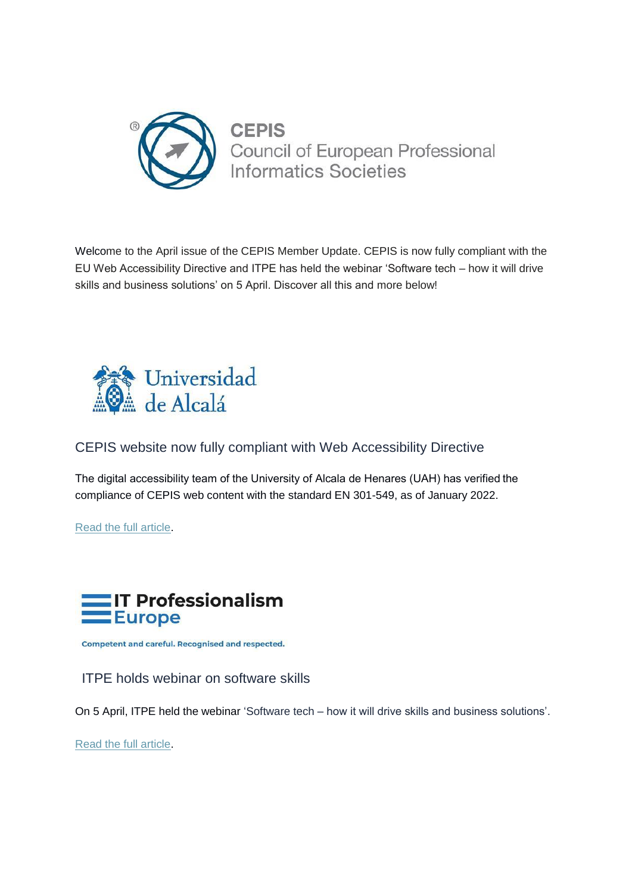

Welcome to the April issue of the CEPIS Member Update. CEPIS is now fully compliant with the EU Web Accessibility Directive and ITPE has held the webinar 'Software tech – how it will drive skills and business solutions' on 5 April. Discover all this and more below!



CEPIS website now fully compliant with Web Accessibility Directive

The digital accessibility team of the University of Alcala de Henares (UAH) has verified the compliance of CEPIS web content with the standard EN 301-549, as of January 2022.

[Read the full article.](https://cepis.cmail19.com/t/j-l-zuyjhtd-djlrwtidj-r/)



**Competent and careful. Recognised and respected.** 

ITPE holds webinar on software skills

On 5 April, ITPE held the webinar 'Software tech – [how it will drive skills and business solutions'.](https://cepis.cmail19.com/t/j-l-zuyjhtd-djlrwtidj-y/)

[Read the full article.](https://cepis.cmail19.com/t/j-l-zuyjhtd-djlrwtidj-j/)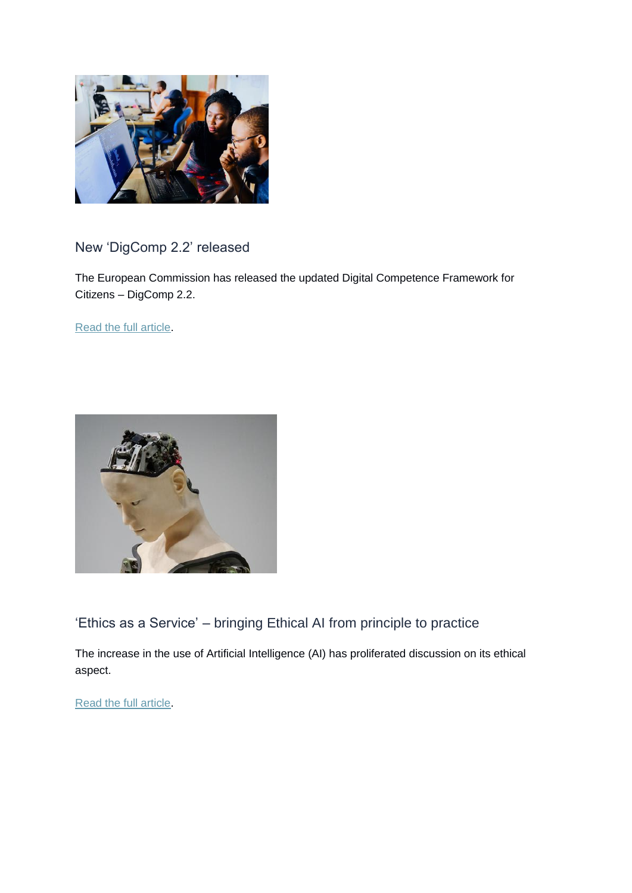

## New 'DigComp 2.2' released

The European Commission has released the updated Digital Competence Framework for Citizens – DigComp 2.2.

[Read the full article.](https://cepis.cmail19.com/t/j-l-zuyjhtd-djlrwtidj-t/)



'Ethics as a Service' – bringing Ethical AI from principle to practice

The increase in the use of Artificial Intelligence (AI) has proliferated discussion on its ethical aspect.

[Read the full article.](https://cepis.cmail19.com/t/j-l-zuyjhtd-djlrwtidj-i/)